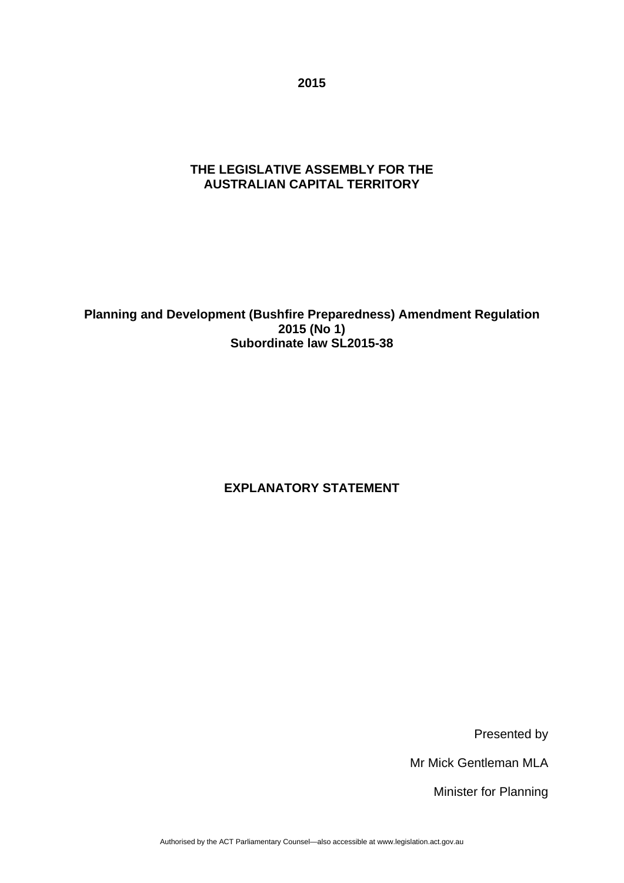**2015** 

# **THE LEGISLATIVE ASSEMBLY FOR THE AUSTRALIAN CAPITAL TERRITORY**

**Planning and Development (Bushfire Preparedness) Amendment Regulation 2015 (No 1) Subordinate law SL2015-38** 

# **EXPLANATORY STATEMENT**

Presented by

Mr Mick Gentleman MLA

Minister for Planning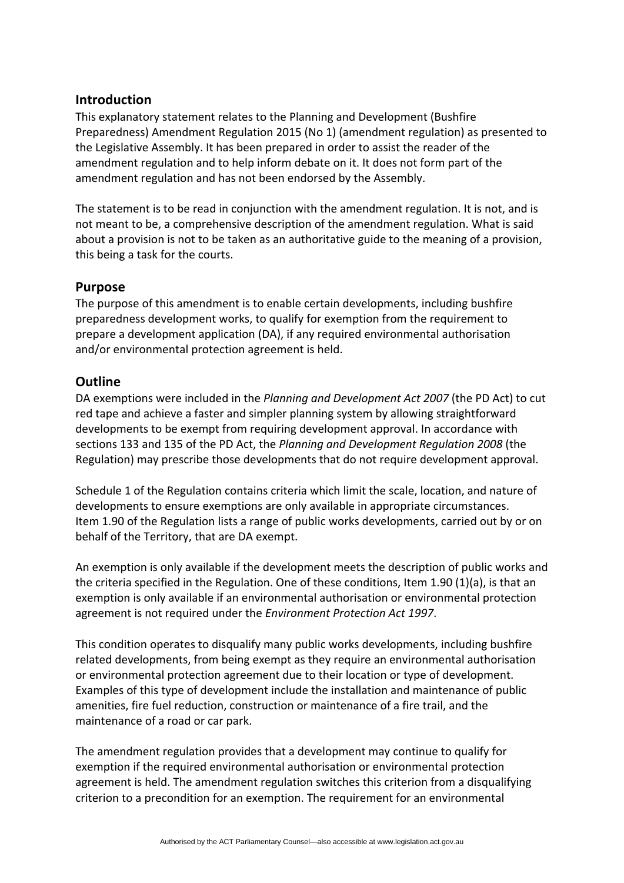### **Introduction**

This explanatory statement relates to the Planning and Development (Bushfire Preparedness) Amendment Regulation 2015 (No 1) (amendment regulation) as presented to the Legislative Assembly. It has been prepared in order to assist the reader of the amendment regulation and to help inform debate on it. It does not form part of the amendment regulation and has not been endorsed by the Assembly.

The statement is to be read in conjunction with the amendment regulation. It is not, and is not meant to be, a comprehensive description of the amendment regulation. What is said about a provision is not to be taken as an authoritative guide to the meaning of a provision, this being a task for the courts.

# **Purpose**

The purpose of this amendment is to enable certain developments, including bushfire preparedness development works, to qualify for exemption from the requirement to prepare a development application (DA), if any required environmental authorisation and/or environmental protection agreement is held.

## **Outline**

DA exemptions were included in the *Planning and Development Act 2007* (the PD Act) to cut red tape and achieve a faster and simpler planning system by allowing straightforward developments to be exempt from requiring development approval. In accordance with sections 133 and 135 of the PD Act, the *Planning and Development Regulation 2008* (the Regulation) may prescribe those developments that do not require development approval.

Schedule 1 of the Regulation contains criteria which limit the scale, location, and nature of developments to ensure exemptions are only available in appropriate circumstances. Item 1.90 of the Regulation lists a range of public works developments, carried out by or on behalf of the Territory, that are DA exempt.

An exemption is only available if the development meets the description of public works and the criteria specified in the Regulation. One of these conditions, Item 1.90 (1)(a), is that an exemption is only available if an environmental authorisation or environmental protection agreement is not required under the *Environment Protection Act 1997*.

This condition operates to disqualify many public works developments, including bushfire related developments, from being exempt as they require an environmental authorisation or environmental protection agreement due to their location or type of development. Examples of this type of development include the installation and maintenance of public amenities, fire fuel reduction, construction or maintenance of a fire trail, and the maintenance of a road or car park.

The amendment regulation provides that a development may continue to qualify for exemption if the required environmental authorisation or environmental protection agreement is held. The amendment regulation switches this criterion from a disqualifying criterion to a precondition for an exemption. The requirement for an environmental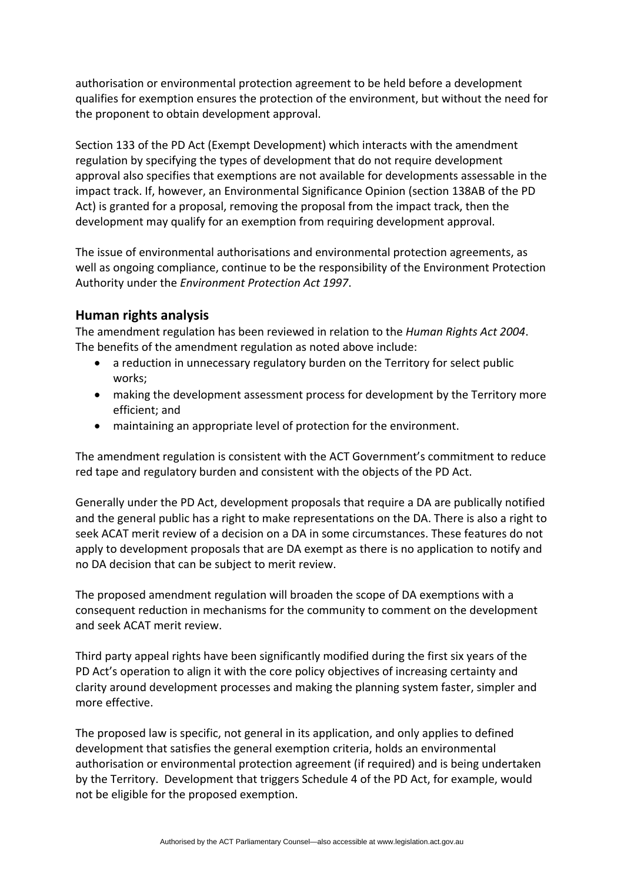authorisation or environmental protection agreement to be held before a development qualifies for exemption ensures the protection of the environment, but without the need for the proponent to obtain development approval.

Section 133 of the PD Act (Exempt Development) which interacts with the amendment regulation by specifying the types of development that do not require development approval also specifies that exemptions are not available for developments assessable in the impact track. If, however, an Environmental Significance Opinion (section 138AB of the PD Act) is granted for a proposal, removing the proposal from the impact track, then the development may qualify for an exemption from requiring development approval.

The issue of environmental authorisations and environmental protection agreements, as well as ongoing compliance, continue to be the responsibility of the Environment Protection Authority under the *Environment Protection Act 1997*.

## **Human rights analysis**

The amendment regulation has been reviewed in relation to the *Human Rights Act 2004*. The benefits of the amendment regulation as noted above include:

- a reduction in unnecessary regulatory burden on the Territory for select public works;
- making the development assessment process for development by the Territory more efficient; and
- maintaining an appropriate level of protection for the environment.

The amendment regulation is consistent with the ACT Government's commitment to reduce red tape and regulatory burden and consistent with the objects of the PD Act.

Generally under the PD Act, development proposals that require a DA are publically notified and the general public has a right to make representations on the DA. There is also a right to seek ACAT merit review of a decision on a DA in some circumstances. These features do not apply to development proposals that are DA exempt as there is no application to notify and no DA decision that can be subject to merit review.

The proposed amendment regulation will broaden the scope of DA exemptions with a consequent reduction in mechanisms for the community to comment on the development and seek ACAT merit review.

Third party appeal rights have been significantly modified during the first six years of the PD Act's operation to align it with the core policy objectives of increasing certainty and clarity around development processes and making the planning system faster, simpler and more effective.

The proposed law is specific, not general in its application, and only applies to defined development that satisfies the general exemption criteria, holds an environmental authorisation or environmental protection agreement (if required) and is being undertaken by the Territory. Development that triggers Schedule 4 of the PD Act, for example, would not be eligible for the proposed exemption.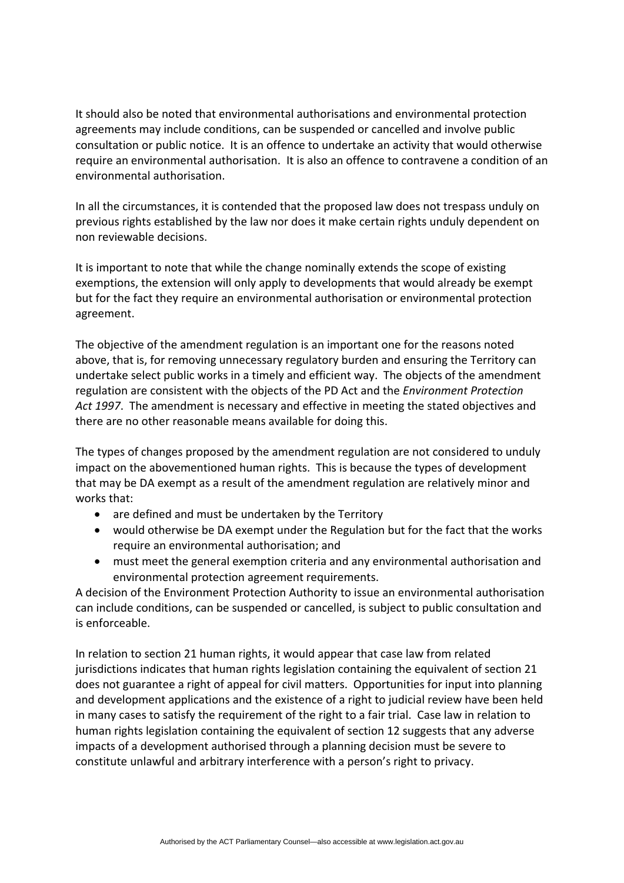It should also be noted that environmental authorisations and environmental protection agreements may include conditions, can be suspended or cancelled and involve public consultation or public notice. It is an offence to undertake an activity that would otherwise require an environmental authorisation. It is also an offence to contravene a condition of an environmental authorisation.

In all the circumstances, it is contended that the proposed law does not trespass unduly on previous rights established by the law nor does it make certain rights unduly dependent on non reviewable decisions.

It is important to note that while the change nominally extends the scope of existing exemptions, the extension will only apply to developments that would already be exempt but for the fact they require an environmental authorisation or environmental protection agreement.

The objective of the amendment regulation is an important one for the reasons noted above, that is, for removing unnecessary regulatory burden and ensuring the Territory can undertake select public works in a timely and efficient way. The objects of the amendment regulation are consistent with the objects of the PD Act and the *Environment Protection Act 1997*. The amendment is necessary and effective in meeting the stated objectives and there are no other reasonable means available for doing this.

The types of changes proposed by the amendment regulation are not considered to unduly impact on the abovementioned human rights. This is because the types of development that may be DA exempt as a result of the amendment regulation are relatively minor and works that:

- are defined and must be undertaken by the Territory
- would otherwise be DA exempt under the Regulation but for the fact that the works require an environmental authorisation; and
- must meet the general exemption criteria and any environmental authorisation and environmental protection agreement requirements.

A decision of the Environment Protection Authority to issue an environmental authorisation can include conditions, can be suspended or cancelled, is subject to public consultation and is enforceable.

In relation to section 21 human rights, it would appear that case law from related jurisdictions indicates that human rights legislation containing the equivalent of section 21 does not guarantee a right of appeal for civil matters. Opportunities for input into planning and development applications and the existence of a right to judicial review have been held in many cases to satisfy the requirement of the right to a fair trial. Case law in relation to human rights legislation containing the equivalent of section 12 suggests that any adverse impacts of a development authorised through a planning decision must be severe to constitute unlawful and arbitrary interference with a person's right to privacy.